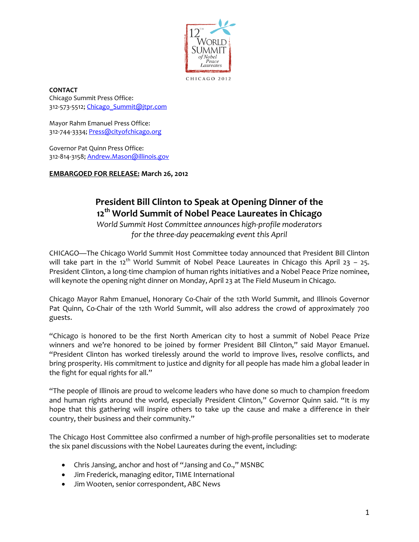

CHICAGO 2012

**CONTACT** Chicago Summit Press Office: 312-573-5512; [Chicago\\_Summit@jtpr.com](mailto:Chicago_Summit@jtpr.com)

Mayor Rahm Emanuel Press Office: 312-744-3334; [Press@cityofchicago.org](mailto:press@cityofchicago.org)

Governor Pat Quinn Press Office: 312-814-3158;<Andrew.Mason@illinois.gov>

**EMBARGOED FOR RELEASE: March 26, 2012**

## **President Bill Clinton to Speak at Opening Dinner of the 12th World Summit of Nobel Peace Laureates in Chicago**

*World Summit Host Committee announces high-profile moderators for the three-day peacemaking event this April*

CHICAGO—The Chicago World Summit Host Committee today announced that President Bill Clinton will take part in the 12<sup>th</sup> World Summit of Nobel Peace Laureates in Chicago this April 23 - 25. President Clinton, a long-time champion of human rights initiatives and a Nobel Peace Prize nominee, will keynote the opening night dinner on Monday, April 23 at The Field Museum in Chicago.

Chicago Mayor Rahm Emanuel, Honorary Co-Chair of the 12th World Summit, and Illinois Governor Pat Quinn, Co-Chair of the 12th World Summit, will also address the crowd of approximately 700 guests.

"Chicago is honored to be the first North American city to host a summit of Nobel Peace Prize winners and we're honored to be joined by former President Bill Clinton," said Mayor Emanuel. "President Clinton has worked tirelessly around the world to improve lives, resolve conflicts, and bring prosperity. His commitment to justice and dignity for all people has made him a global leader in the fight for equal rights for all."

"The people of Illinois are proud to welcome leaders who have done so much to champion freedom and human rights around the world, especially President Clinton," Governor Quinn said. "It is my hope that this gathering will inspire others to take up the cause and make a difference in their country, their business and their community."

The Chicago Host Committee also confirmed a number of high-profile personalities set to moderate the six panel discussions with the Nobel Laureates during the event, including:

- Chris Jansing, anchor and host of "Jansing and Co.," MSNBC
- Jim Frederick, managing editor, TIME International
- Jim Wooten, senior correspondent, ABC News